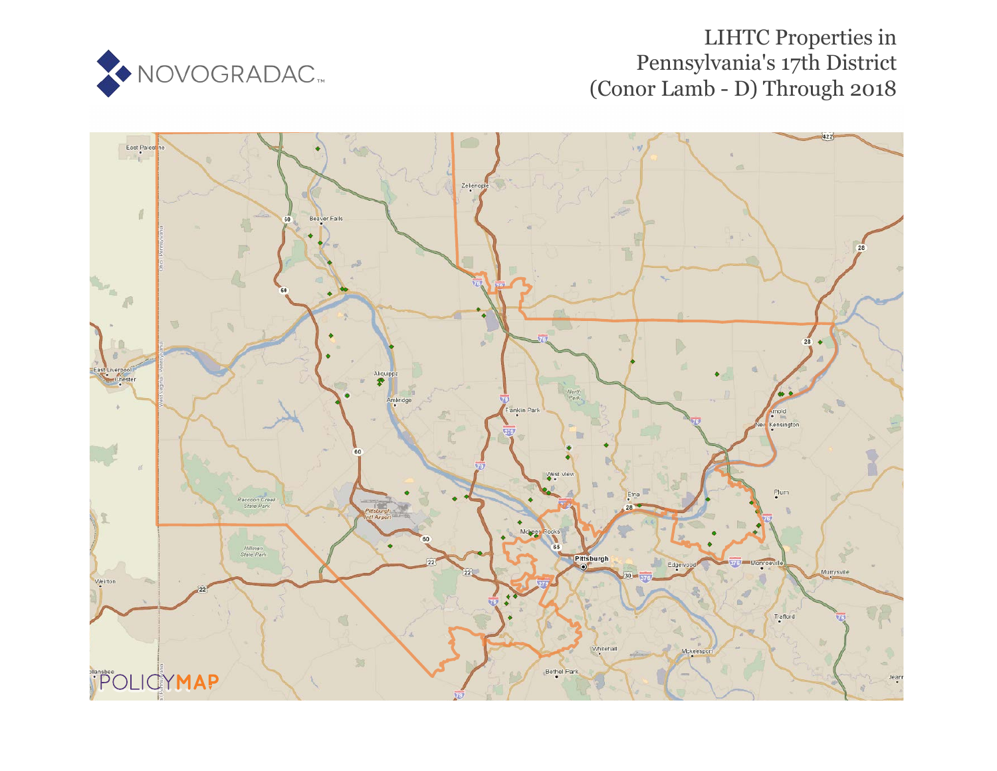

# LIHTC Properties in Pennsylvania's 17th District (Conor Lamb - D) Through 2018

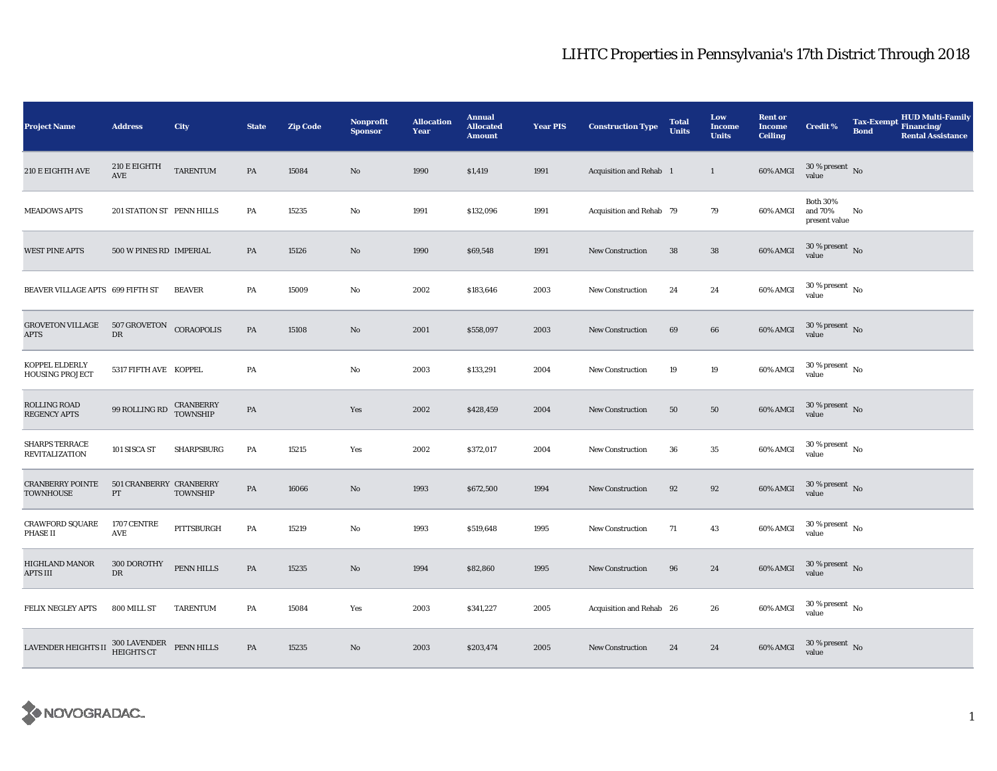| <b>Project Name</b>                                                        | <b>Address</b>                               | City                  | <b>State</b>  | <b>Zip Code</b> | <b>Nonprofit</b><br><b>Sponsor</b> | <b>Allocation</b><br>Year | <b>Annual</b><br><b>Allocated</b><br><b>Amount</b> | <b>Year PIS</b> | <b>Construction Type</b> | <b>Total</b><br><b>Units</b> | Low<br><b>Income</b><br><b>Units</b> | <b>Rent or</b><br><b>Income</b><br><b>Ceiling</b> | <b>Credit %</b>                             | <b>Tax-Exempt</b><br><b>Bond</b> | <b>HUD Multi-Family</b><br>Financing/<br><b>Rental Assistance</b> |
|----------------------------------------------------------------------------|----------------------------------------------|-----------------------|---------------|-----------------|------------------------------------|---------------------------|----------------------------------------------------|-----------------|--------------------------|------------------------------|--------------------------------------|---------------------------------------------------|---------------------------------------------|----------------------------------|-------------------------------------------------------------------|
| 210 E EIGHTH AVE                                                           | 210 E EIGHTH<br>$\operatorname{AVE}$         | <b>TARENTUM</b>       | PA            | 15084           | No                                 | 1990                      | \$1,419                                            | 1991            | Acquisition and Rehab 1  |                              | $\mathbf{1}$                         | 60% AMGI                                          | $30\,\%$ present $\,$ No value              |                                  |                                                                   |
| <b>MEADOWS APTS</b>                                                        | 201 STATION ST PENN HILLS                    |                       | PA            | 15235           | No                                 | 1991                      | \$132,096                                          | 1991            | Acquisition and Rehab 79 |                              | 79                                   | 60% AMGI                                          | <b>Both 30%</b><br>and 70%<br>present value | No                               |                                                                   |
| <b>WEST PINE APTS</b>                                                      | 500 W PINES RD IMPERIAL                      |                       | PA            | 15126           | No                                 | 1990                      | \$69,548                                           | 1991            | <b>New Construction</b>  | 38                           | 38                                   | 60% AMGI                                          | $30$ % present $\,$ No value                |                                  |                                                                   |
| BEAVER VILLAGE APTS 699 FIFTH ST                                           |                                              | <b>BEAVER</b>         | PA            | 15009           | $\mathbf{No}$                      | 2002                      | \$183,646                                          | 2003            | <b>New Construction</b>  | 24                           | 24                                   | 60% AMGI                                          | $30$ % present $\,$ No $\,$<br>value        |                                  |                                                                   |
| <b>GROVETON VILLAGE</b><br>APTS                                            | 507 GROVETON<br>${\rm D}{\rm R}$             | CORAOPOLIS            | PA            | 15108           | No                                 | 2001                      | \$558,097                                          | 2003            | <b>New Construction</b>  | 69                           | 66                                   | 60% AMGI                                          | $30$ % present $\,$ No value                |                                  |                                                                   |
| KOPPEL ELDERLY<br><b>HOUSING PROJECT</b>                                   | 5317 FIFTH AVE KOPPEL                        |                       | PA            |                 | No                                 | 2003                      | \$133,291                                          | 2004            | <b>New Construction</b>  | 19                           | 19                                   | 60% AMGI                                          | $30$ % present $_{\rm{No}}$                 |                                  |                                                                   |
| ROLLING ROAD<br><b>REGENCY APTS</b>                                        | $99$ ROLLING RD                              | CRANBERRY<br>TOWNSHIP | PA            |                 | Yes                                | 2002                      | \$428,459                                          | 2004            | <b>New Construction</b>  | 50                           | ${\bf 50}$                           | 60% AMGI                                          | $30$ % present $\,$ No value                |                                  |                                                                   |
| <b>SHARPS TERRACE</b><br><b>REVITALIZATION</b>                             | 101 SISCA ST                                 | <b>SHARPSBURG</b>     | PA            | 15215           | Yes                                | 2002                      | \$372,017                                          | 2004            | <b>New Construction</b>  | 36                           | $35\,$                               | 60% AMGI                                          | $30$ % present $\,$ No value                |                                  |                                                                   |
| <b>CRANBERRY POINTE</b><br><b>TOWNHOUSE</b>                                | 501 CRANBERRY CRANBERRY<br>$\mathbf{PT}$     | <b>TOWNSHIP</b>       | PA            | 16066           | No                                 | 1993                      | \$672,500                                          | 1994            | New Construction         | 92                           | 92                                   | $60\%$ AMGI                                       | $30$ % present $\,$ No value                |                                  |                                                                   |
| CRAWFORD SQUARE<br>PHASE II                                                | 1707 CENTRE<br>$\operatorname{\mathsf{AVE}}$ | PITTSBURGH            | PA            | 15219           | No                                 | 1993                      | \$519,648                                          | 1995            | <b>New Construction</b>  | 71                           | 43                                   | 60% AMGI                                          | $30\,\%$ present $\,$ No $\,$<br>value      |                                  |                                                                   |
| HIGHLAND MANOR<br>APTS III                                                 | 300 DOROTHY<br>$\mathbf{D}\mathbf{R}$        | PENN HILLS            | PA            | 15235           | No                                 | 1994                      | \$82,860                                           | 1995            | <b>New Construction</b>  | 96                           | 24                                   | 60% AMGI                                          | $30$ % present $\,$ No value                |                                  |                                                                   |
| FELIX NEGLEY APTS                                                          | 800 MILL ST                                  | <b>TARENTUM</b>       | PA            | 15084           | Yes                                | 2003                      | \$341,227                                          | 2005            | Acquisition and Rehab 26 |                              | 26                                   | 60% AMGI                                          | $30$ % present $\,$ No value                |                                  |                                                                   |
| LAVENDER HEIGHTS II $^{300\, \rm{LAVENDER}}_{\rm HEIGHTS\, CT}$ PENN HILLS |                                              |                       | $\mathbf{PA}$ | 15235           | No                                 | 2003                      | \$203,474                                          | 2005            | <b>New Construction</b>  | 24                           | 24                                   | 60% AMGI                                          | $30$ % present $\,$ No value                |                                  |                                                                   |

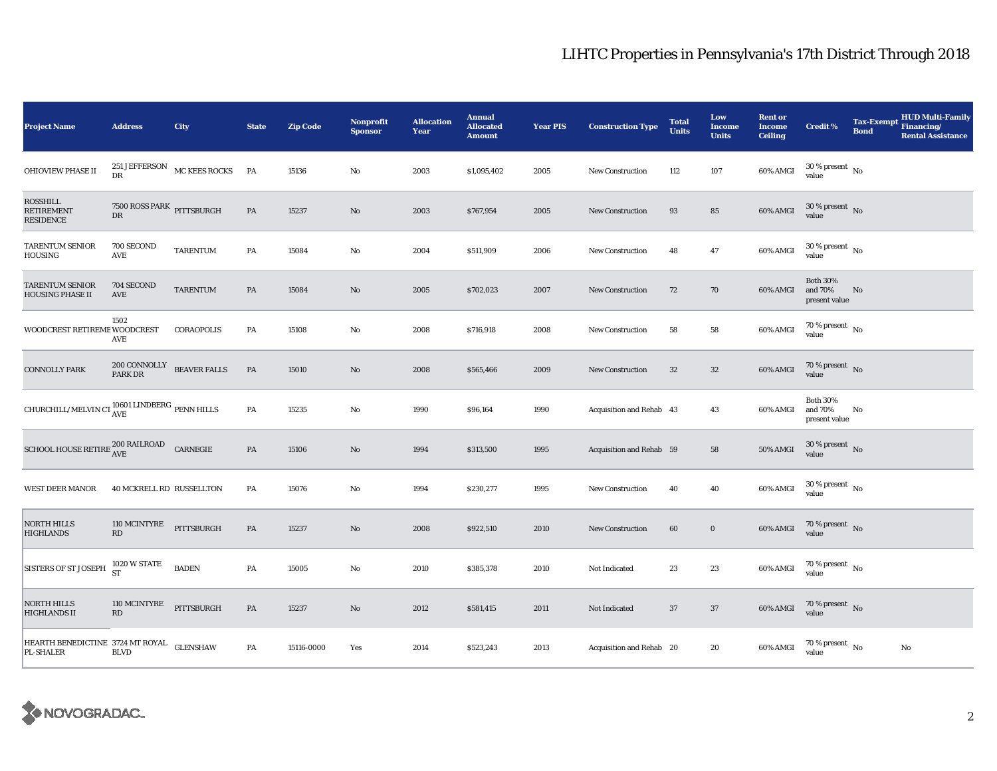| <b>Project Name</b>                                                   | <b>Address</b>                           | City                           | <b>State</b>  | <b>Zip Code</b> | <b>Nonprofit</b><br><b>Sponsor</b> | <b>Allocation</b><br>Year | <b>Annual</b><br><b>Allocated</b><br><b>Amount</b> | <b>Year PIS</b> | <b>Construction Type</b> | <b>Total</b><br><b>Units</b> | Low<br><b>Income</b><br><b>Units</b> | <b>Rent or</b><br><b>Income</b><br><b>Ceiling</b> | <b>Credit %</b>                             | <b>Bond</b> | <b>HUD Multi-Family</b><br>Tax-Exempt Financing/<br><b>Rental Assistance</b> |
|-----------------------------------------------------------------------|------------------------------------------|--------------------------------|---------------|-----------------|------------------------------------|---------------------------|----------------------------------------------------|-----------------|--------------------------|------------------------------|--------------------------------------|---------------------------------------------------|---------------------------------------------|-------------|------------------------------------------------------------------------------|
| OHIOVIEW PHASE II                                                     | DR                                       | 251 JEFFERSON MC KEES ROCKS PA |               | 15136           | $\rm No$                           | 2003                      | \$1,095,402                                        | 2005            | <b>New Construction</b>  | 112                          | 107                                  | 60% AMGI                                          | $30\,\%$ present $\,$ No value              |             |                                                                              |
| <b>ROSSHILL</b><br><b>RETIREMENT</b><br>RESIDENCE                     | 7500 ROSS PARK PITTSBURGH<br>DR          |                                | PA            | 15237           | $\mathbf{N}\mathbf{o}$             | 2003                      | \$767,954                                          | 2005            | <b>New Construction</b>  | 93                           | 85                                   | 60% AMGI                                          | $30\,\%$ present $\,$ No $\,$<br>value      |             |                                                                              |
| <b>TARENTUM SENIOR</b><br>HOUSING                                     | 700 SECOND<br>AVE                        | TARENTUM                       | PA            | 15084           | No                                 | 2004                      | \$511,909                                          | 2006            | New Construction         | 48                           | 47                                   | 60% AMGI                                          | $30\,\%$ present $\,$ No value              |             |                                                                              |
| <b>TARENTUM SENIOR</b><br><b>HOUSING PHASE II</b>                     | 704 SECOND<br>$\operatorname{AVE}$       | <b>TARENTUM</b>                | PA            | 15084           | No                                 | 2005                      | \$702,023                                          | 2007            | <b>New Construction</b>  | 72                           | 70                                   | 60% AMGI                                          | <b>Both 30%</b><br>and 70%<br>present value | No          |                                                                              |
| WOODCREST RETIREME WOODCREST                                          | 1502<br>AVE                              | CORAOPOLIS                     | PA            | 15108           | No                                 | 2008                      | \$716,918                                          | 2008            | New Construction         | 58                           | 58                                   | $60\%$ AMGI                                       | 70 % present $\hbox{~No}$<br>value          |             |                                                                              |
| <b>CONNOLLY PARK</b>                                                  | $200$ CONNOLLY $\;$ BEAVER FALLS PARK DR |                                | PA            | 15010           | $\mathbf{N}\mathbf{o}$             | 2008                      | \$565,466                                          | 2009            | New Construction         | $32\,$                       | $32\,$                               | 60% AMGI                                          | $70\,\%$ present $\,$ No value              |             |                                                                              |
| CHURCHILL/MELVIN CT $_{\rm AVE}^{10601}$ LINDBERG $_{\rm PENN}$ HILLS |                                          |                                | PA            | 15235           | $\rm No$                           | 1990                      | \$96,164                                           | 1990            | Acquisition and Rehab 43 |                              | 43                                   | 60% AMGI                                          | <b>Both 30%</b><br>and 70%<br>present value | No          |                                                                              |
| SCHOOL HOUSE RETIRE $_{\rm AVE}^{200~\rm RAILROAD}$ CARNEGIE          |                                          |                                | PA            | 15106           | $\rm No$                           | 1994                      | \$313,500                                          | 1995            | Acquisition and Rehab 59 |                              | 58                                   | <b>50% AMGI</b>                                   | $30\,\%$ present $\,$ No $\,$<br>value      |             |                                                                              |
| <b>WEST DEER MANOR</b>                                                | 40 MCKRELL RD RUSSELLTON                 |                                | PA            | 15076           | No                                 | 1994                      | \$230,277                                          | 1995            | <b>New Construction</b>  | 40                           | 40                                   | 60% AMGI                                          | $30\,\%$ present $\,$ No value              |             |                                                                              |
| <b>NORTH HILLS</b><br><b>HIGHLANDS</b>                                | 110 MCINTYRE<br>RD                       | PITTSBURGH                     | PA            | 15237           | $\mathbf{N}\mathbf{o}$             | 2008                      | \$922,510                                          | 2010            | <b>New Construction</b>  | 60                           | $\mathbf 0$                          | 60% AMGI                                          | $70\,\%$ present $\,$ No value              |             |                                                                              |
| <b>SISTERS OF ST JOSEPH</b>                                           | 1020 W STATE<br>ST                       | <b>BADEN</b>                   | PA            | 15005           | $\rm No$                           | 2010                      | \$385,378                                          | 2010            | Not Indicated            | 23                           | $\bf 23$                             | 60% AMGI                                          | $70\,\%$ present $\,$ No value              |             |                                                                              |
| <b>NORTH HILLS</b><br><b>HIGHLANDS II</b>                             | 110 MCINTYRE<br>$\mathbf{R}\mathbf{D}$   | PITTSBURGH                     | $\mathbf{PA}$ | 15237           | $\rm No$                           | 2012                      | \$581,415                                          | 2011            | Not Indicated            | 37                           | $37\,$                               | 60% AMGI                                          | $70\,\%$ present $\,$ No value              |             |                                                                              |
| HEARTH BENEDICTINE 3724 MT ROYAL GLENSHAW<br>PL-SHALER                | <b>BLVD</b>                              |                                | PA            | 15116-0000      | Yes                                | 2014                      | \$523,243                                          | 2013            | Acquisition and Rehab 20 |                              | 20                                   | 60% AMGI                                          | $70\,\%$ present $\,$ No value              |             | $\rm No$                                                                     |

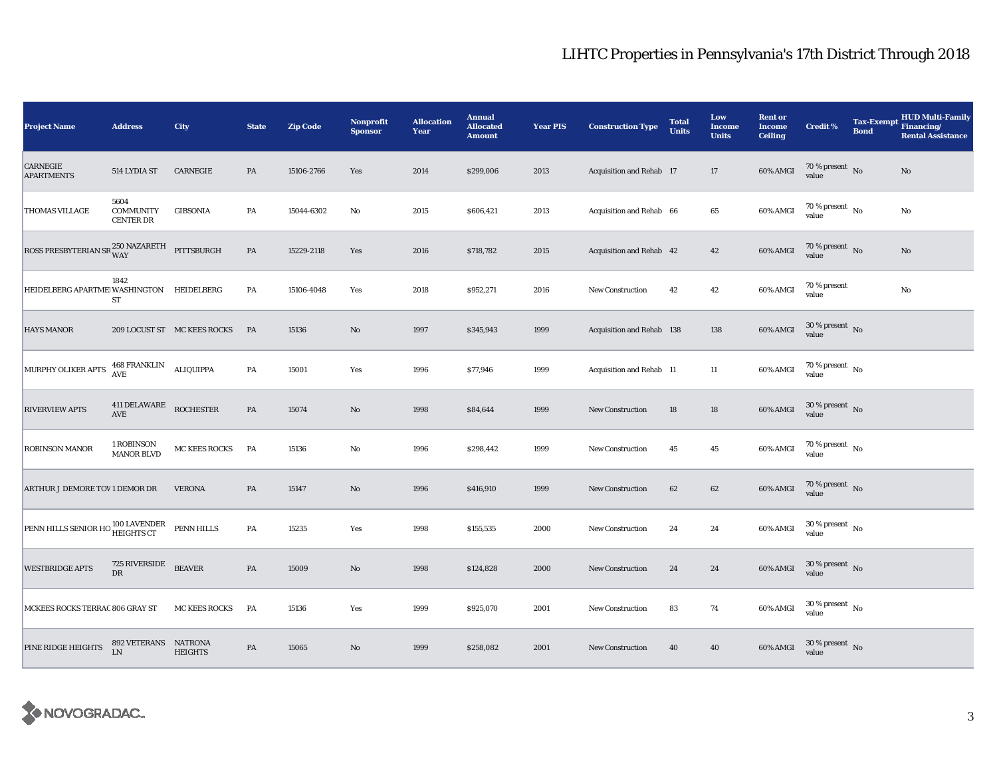| <b>Project Name</b>                                            | <b>Address</b>                               | City                        | <b>State</b>  | <b>Zip Code</b> | <b>Nonprofit</b><br><b>Sponsor</b> | <b>Allocation</b><br>Year | <b>Annual</b><br><b>Allocated</b><br><b>Amount</b> | <b>Year PIS</b> | <b>Construction Type</b>  | <b>Total</b><br><b>Units</b> | Low<br><b>Income</b><br><b>Units</b> | <b>Rent or</b><br><b>Income</b><br><b>Ceiling</b> | <b>Credit %</b>                        | <b>Tax-Exempt</b><br><b>Bond</b> | <b>HUD Multi-Family</b><br>Financing/<br><b>Rental Assistance</b> |
|----------------------------------------------------------------|----------------------------------------------|-----------------------------|---------------|-----------------|------------------------------------|---------------------------|----------------------------------------------------|-----------------|---------------------------|------------------------------|--------------------------------------|---------------------------------------------------|----------------------------------------|----------------------------------|-------------------------------------------------------------------|
| CARNEGIE<br><b>APARTMENTS</b>                                  | 514 LYDIA ST                                 | CARNEGIE                    | PA            | 15106-2766      | Yes                                | 2014                      | \$299,006                                          | 2013            | Acquisition and Rehab 17  |                              | 17                                   | 60% AMGI                                          | $70$ % present $${\rm No}$$ value      |                                  | No                                                                |
| THOMAS VILLAGE                                                 | 5604<br><b>COMMUNITY</b><br><b>CENTER DR</b> | GIBSONIA                    | PA            | 15044-6302      | $\mathbf{No}$                      | 2015                      | \$606,421                                          | 2013            | Acquisition and Rehab 66  |                              | $\bf 65$                             | 60% AMGI                                          | $70$ % present $\,$ No $\,$<br>value   |                                  | No                                                                |
| ROSS PRESBYTERIAN SR $_{\rm WAY}^{250\rm~NAZARETH}$ PITTSBURGH |                                              |                             | PA            | 15229-2118      | Yes                                | 2016                      | \$718,782                                          | 2015            | Acquisition and Rehab 42  |                              | 42                                   | 60% AMGI                                          | $70\,\%$ present $${\rm No}$$ value    |                                  | No                                                                |
| HEIDELBERG APARTME WASHINGTON HEIDELBERG                       | 1842<br>ST                                   |                             | PA            | 15106-4048      | Yes                                | 2018                      | \$952,271                                          | 2016            | <b>New Construction</b>   | 42                           | 42                                   | 60% AMGI                                          | 70 % present<br>value                  |                                  | No                                                                |
| <b>HAYS MANOR</b>                                              |                                              | 209 LOCUST ST MC KEES ROCKS | PA            | 15136           | $\mathbf{No}$                      | 1997                      | \$345,943                                          | 1999            | Acquisition and Rehab 138 |                              | 138                                  | 60% AMGI                                          | $30\,\%$ present $\,$ No value         |                                  |                                                                   |
| MURPHY OLIKER APTS                                             | <b>468 FRANKLIN</b><br><b>AVE</b>            | ALIQUIPPA                   | PA            | 15001           | Yes                                | 1996                      | \$77,946                                           | 1999            | Acquisition and Rehab 11  |                              | $11\,$                               | 60% AMGI                                          | $70$ % present $\,$ No $\,$<br>value   |                                  |                                                                   |
| <b>RIVERVIEW APTS</b>                                          | 411 DELAWARE<br>AVE                          | <b>ROCHESTER</b>            | PA            | 15074           | $\mathbf{No}$                      | 1998                      | \$84,644                                           | 1999            | <b>New Construction</b>   | 18                           | 18                                   | 60% AMGI                                          | $30\,\%$ present $\,$ No value         |                                  |                                                                   |
| ROBINSON MANOR                                                 | 1 ROBINSON<br><b>MANOR BLVD</b>              | MC KEES ROCKS               | PA            | 15136           | $\rm No$                           | 1996                      | \$298,442                                          | 1999            | <b>New Construction</b>   | 45                           | $45\,$                               | 60% AMGI                                          | $70\,\%$ present $\,$ No value         |                                  |                                                                   |
| ARTHUR J DEMORE TOV 1 DEMOR DR                                 |                                              | <b>VERONA</b>               | PA            | 15147           | No                                 | 1996                      | \$416,910                                          | 1999            | New Construction          | 62                           | 62                                   | 60% AMGI                                          | $70\,\%$ present $\,$ No value         |                                  |                                                                   |
| PENN HILLS SENIOR HO 100 LAVENDER<br>HEIGHTS CT                |                                              | PENN HILLS                  | PA            | 15235           | Yes                                | 1998                      | \$155,535                                          | 2000            | New Construction          | 24                           | 24                                   | 60% AMGI                                          | $30\,\%$ present $\,$ No $\,$<br>value |                                  |                                                                   |
| <b>WESTBRIDGE APTS</b>                                         | 725 RIVERSIDE<br><b>DR</b>                   | <b>BEAVER</b>               | PA            | 15009           | $\mathbf{N}\mathbf{o}$             | 1998                      | \$124,828                                          | 2000            | New Construction          | 24                           | 24                                   | 60% AMGI                                          | $30\,\%$ present $\,$ No $\,$<br>value |                                  |                                                                   |
| MCKEES ROCKS TERRAC 806 GRAY ST                                |                                              | <b>MC KEES ROCKS</b>        | PA            | 15136           | Yes                                | 1999                      | \$925,070                                          | 2001            | <b>New Construction</b>   | 83                           | 74                                   | 60% AMGI                                          | $30\,\%$ present $\,$ No value         |                                  |                                                                   |
| PINE RIDGE HEIGHTS                                             | 892 VETERANS NATRONA<br><b>LN</b>            | <b>HEIGHTS</b>              | $\mathbf{PA}$ | 15065           | $\mathbf{No}$                      | 1999                      | \$258,082                                          | 2001            | <b>New Construction</b>   | 40                           | 40                                   | 60% AMGI                                          | $30\,\%$ present $\,$ No value         |                                  |                                                                   |

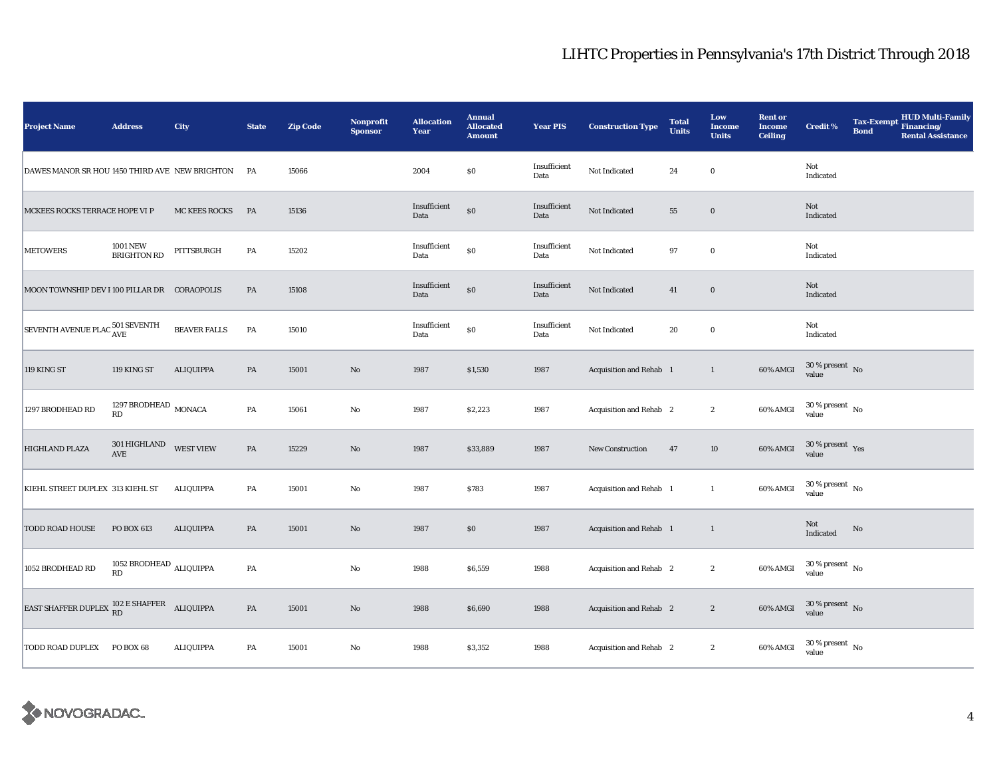| <b>Project Name</b>                             | <b>Address</b>                                | <b>City</b>         | <b>State</b>  | <b>Zip Code</b> | <b>Nonprofit</b><br><b>Sponsor</b> | <b>Allocation</b><br>Year | <b>Annual</b><br><b>Allocated</b><br><b>Amount</b> | <b>Year PIS</b>      | <b>Construction Type</b> | <b>Total</b><br><b>Units</b> | Low<br><b>Income</b><br><b>Units</b> | <b>Rent or</b><br><b>Income</b><br><b>Ceiling</b> | <b>Credit %</b>                      | Tax-Exempt Financing/<br><b>Bond</b> | <b>HUD Multi-Family</b><br><b>Rental Assistance</b> |
|-------------------------------------------------|-----------------------------------------------|---------------------|---------------|-----------------|------------------------------------|---------------------------|----------------------------------------------------|----------------------|--------------------------|------------------------------|--------------------------------------|---------------------------------------------------|--------------------------------------|--------------------------------------|-----------------------------------------------------|
| DAWES MANOR SR HOU 1450 THIRD AVE NEW BRIGHTON  |                                               |                     | PA            | 15066           |                                    | 2004                      | \$0                                                | Insufficient<br>Data | Not Indicated            | 24                           | $\bf{0}$                             |                                                   | Not<br>Indicated                     |                                      |                                                     |
| MCKEES ROCKS TERRACE HOPE VI P                  |                                               | MC KEES ROCKS       | PA            | 15136           |                                    | Insufficient<br>Data      | \$0                                                | Insufficient<br>Data | Not Indicated            | 55                           | $\mathbf 0$                          |                                                   | Not<br>Indicated                     |                                      |                                                     |
| <b>METOWERS</b>                                 | <b>1001 NEW</b><br><b>BRIGHTON RD</b>         | PITTSBURGH          | PA            | 15202           |                                    | Insufficient<br>Data      | $\$0$                                              | Insufficient<br>Data | Not Indicated            | 97                           | $\bf{0}$                             |                                                   | Not<br>Indicated                     |                                      |                                                     |
| MOON TOWNSHIP DEV I 100 PILLAR DR CORAOPOLIS    |                                               |                     | PA            | 15108           |                                    | Insufficient<br>Data      | \$0                                                | Insufficient<br>Data | Not Indicated            | 41                           | $\bf{0}$                             |                                                   | Not<br>Indicated                     |                                      |                                                     |
| SEVENTH AVENUE PLAC 501 SEVENTH                 |                                               | <b>BEAVER FALLS</b> | PA            | 15010           |                                    | Insufficient<br>Data      | \$0                                                | Insufficient<br>Data | Not Indicated            | 20                           | $\mathbf 0$                          |                                                   | Not<br>Indicated                     |                                      |                                                     |
| 119 KING ST                                     | 119 KING ST                                   | <b>ALIQUIPPA</b>    | $\mathbf{PA}$ | 15001           | $\rm\thinspace No$                 | 1987                      | \$1,530                                            | 1987                 | Acquisition and Rehab 1  |                              | $\mathbf{1}$                         | 60% AMGI                                          | $30\,\%$ present $\,$ No value       |                                      |                                                     |
| 1297 BRODHEAD RD                                | 1297 BRODHEAD $\,$ MONACA<br>RD               |                     | PA            | 15061           | $\mathbf {No}$                     | 1987                      | \$2,223                                            | 1987                 | Acquisition and Rehab 2  |                              | $\boldsymbol{2}$                     | 60% AMGI                                          | $30\,\%$ present $\,$ No value       |                                      |                                                     |
| HIGHLAND PLAZA                                  | 301 HIGHLAND<br>AVE                           | <b>WEST VIEW</b>    | $\mathbf{PA}$ | 15229           | $\rm No$                           | 1987                      | \$33,889                                           | 1987                 | <b>New Construction</b>  | 47                           | $10\,$                               | 60% AMGI                                          | $30\,\%$ present $\,$ Yes value      |                                      |                                                     |
| KIEHL STREET DUPLEX 313 KIEHL ST                |                                               | ALIQUIPPA           | PA            | 15001           | $\mathbf{No}$                      | 1987                      | \$783                                              | 1987                 | Acquisition and Rehab 1  |                              | $\mathbf{1}$                         | 60% AMGI                                          | $30$ % present $\,$ No $\,$<br>value |                                      |                                                     |
| <b>TODD ROAD HOUSE</b>                          | PO BOX 613                                    | <b>ALIQUIPPA</b>    | PA            | 15001           | $\rm No$                           | 1987                      | \$0                                                | 1987                 | Acquisition and Rehab 1  |                              | $\mathbf{1}$                         |                                                   | Not<br>Indicated                     | $\rm No$                             |                                                     |
| 1052 BRODHEAD RD                                | 1052 BRODHEAD $_{\rm ALIQUIPPA}$<br><b>RD</b> |                     | PA            |                 | No                                 | 1988                      | \$6,559                                            | 1988                 | Acquisition and Rehab 2  |                              | $\boldsymbol{2}$                     | 60% AMGI                                          | $30$ % present $\,$ No $\,$<br>value |                                      |                                                     |
| EAST SHAFFER DUPLEX $^{102}_{\rm RD}$ E SHAFFER |                                               | ALIQUIPPA           | $\mathbf{PA}$ | 15001           | $\rm No$                           | 1988                      | \$6,690                                            | 1988                 | Acquisition and Rehab 2  |                              | $\boldsymbol{2}$                     | 60% AMGI                                          | $30\,\%$ present $\,$ No value       |                                      |                                                     |
| TODD ROAD DUPLEX                                | PO BOX 68                                     | <b>ALIQUIPPA</b>    | PA            | 15001           | $\mathbf{No}$                      | 1988                      | \$3,352                                            | 1988                 | Acquisition and Rehab 2  |                              | $\boldsymbol{2}$                     | 60% AMGI                                          | $30\,\%$ present $\,$ No value       |                                      |                                                     |